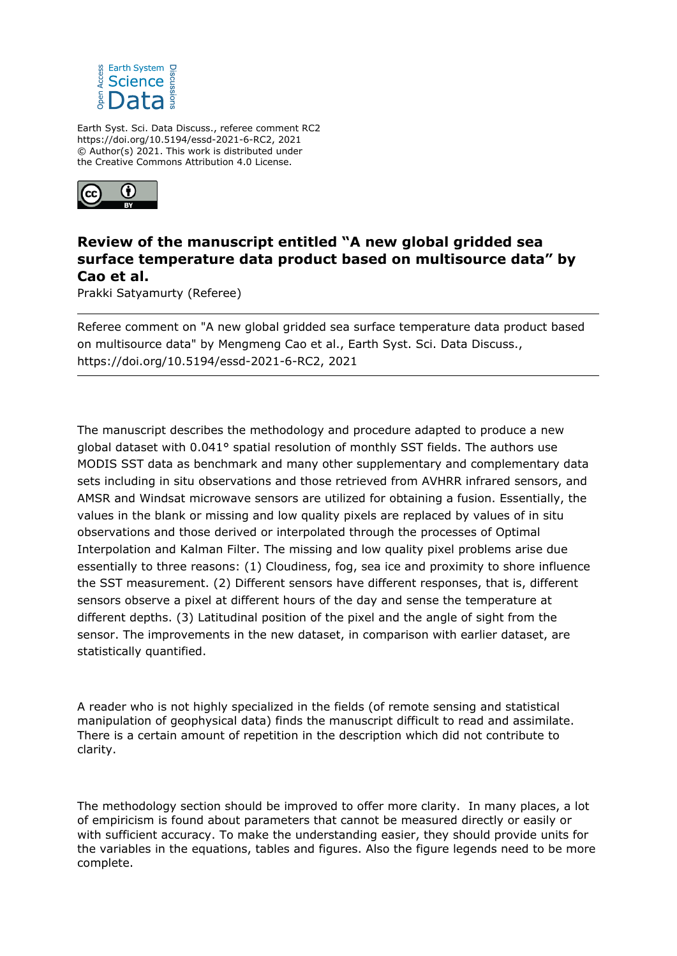

Earth Syst. Sci. Data Discuss., referee comment RC2 https://doi.org/10.5194/essd-2021-6-RC2, 2021 © Author(s) 2021. This work is distributed under the Creative Commons Attribution 4.0 License.



## **Review of the manuscript entitled "A new global gridded sea surface temperature data product based on multisource data" by Cao et al.**

Prakki Satyamurty (Referee)

Referee comment on "A new global gridded sea surface temperature data product based on multisource data" by Mengmeng Cao et al., Earth Syst. Sci. Data Discuss., https://doi.org/10.5194/essd-2021-6-RC2, 2021

The manuscript describes the methodology and procedure adapted to produce a new global dataset with 0.041° spatial resolution of monthly SST fields. The authors use MODIS SST data as benchmark and many other supplementary and complementary data sets including in situ observations and those retrieved from AVHRR infrared sensors, and AMSR and Windsat microwave sensors are utilized for obtaining a fusion. Essentially, the values in the blank or missing and low quality pixels are replaced by values of in situ observations and those derived or interpolated through the processes of Optimal Interpolation and Kalman Filter. The missing and low quality pixel problems arise due essentially to three reasons: (1) Cloudiness, fog, sea ice and proximity to shore influence the SST measurement. (2) Different sensors have different responses, that is, different sensors observe a pixel at different hours of the day and sense the temperature at different depths. (3) Latitudinal position of the pixel and the angle of sight from the sensor. The improvements in the new dataset, in comparison with earlier dataset, are statistically quantified.

A reader who is not highly specialized in the fields (of remote sensing and statistical manipulation of geophysical data) finds the manuscript difficult to read and assimilate. There is a certain amount of repetition in the description which did not contribute to clarity.

The methodology section should be improved to offer more clarity. In many places, a lot of empiricism is found about parameters that cannot be measured directly or easily or with sufficient accuracy. To make the understanding easier, they should provide units for the variables in the equations, tables and figures. Also the figure legends need to be more complete.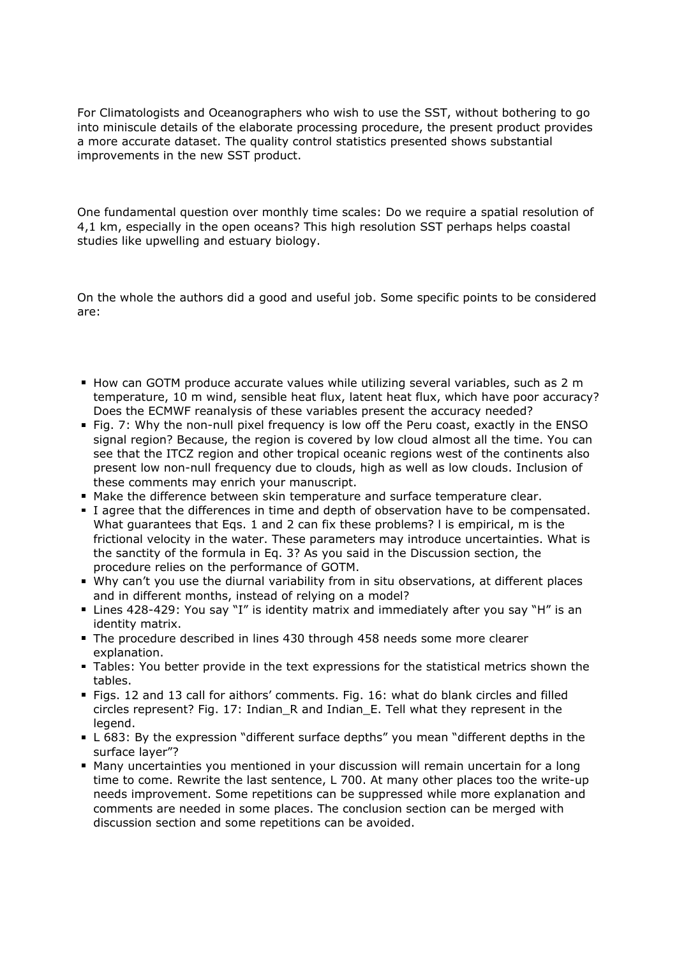For Climatologists and Oceanographers who wish to use the SST, without bothering to go into miniscule details of the elaborate processing procedure, the present product provides a more accurate dataset. The quality control statistics presented shows substantial improvements in the new SST product.

One fundamental question over monthly time scales: Do we require a spatial resolution of 4,1 km, especially in the open oceans? This high resolution SST perhaps helps coastal studies like upwelling and estuary biology.

On the whole the authors did a good and useful job. Some specific points to be considered are:

- How can GOTM produce accurate values while utilizing several variables, such as 2 m temperature, 10 m wind, sensible heat flux, latent heat flux, which have poor accuracy? Does the ECMWF reanalysis of these variables present the accuracy needed?
- Fig. 7: Why the non-null pixel frequency is low off the Peru coast, exactly in the ENSO signal region? Because, the region is covered by low cloud almost all the time. You can see that the ITCZ region and other tropical oceanic regions west of the continents also present low non-null frequency due to clouds, high as well as low clouds. Inclusion of these comments may enrich your manuscript.
- Make the difference between skin temperature and surface temperature clear.
- I agree that the differences in time and depth of observation have to be compensated. What guarantees that Eqs. 1 and 2 can fix these problems? l is empirical, m is the frictional velocity in the water. These parameters may introduce uncertainties. What is the sanctity of the formula in Eq. 3? As you said in the Discussion section, the procedure relies on the performance of GOTM.
- Why can't you use the diurnal variability from in situ observations, at different places and in different months, instead of relying on a model?
- Lines 428-429: You say "I" is identity matrix and immediately after you say "H" is an identity matrix.
- The procedure described in lines 430 through 458 needs some more clearer explanation.
- Tables: You better provide in the text expressions for the statistical metrics shown the tables.
- Figs. 12 and 13 call for aithors' comments. Fig. 16: what do blank circles and filled circles represent? Fig. 17: Indian\_R and Indian\_E. Tell what they represent in the legend.
- L 683: By the expression "different surface depths" you mean "different depths in the surface layer"?
- Many uncertainties you mentioned in your discussion will remain uncertain for a long time to come. Rewrite the last sentence, L 700. At many other places too the write-up needs improvement. Some repetitions can be suppressed while more explanation and comments are needed in some places. The conclusion section can be merged with discussion section and some repetitions can be avoided.